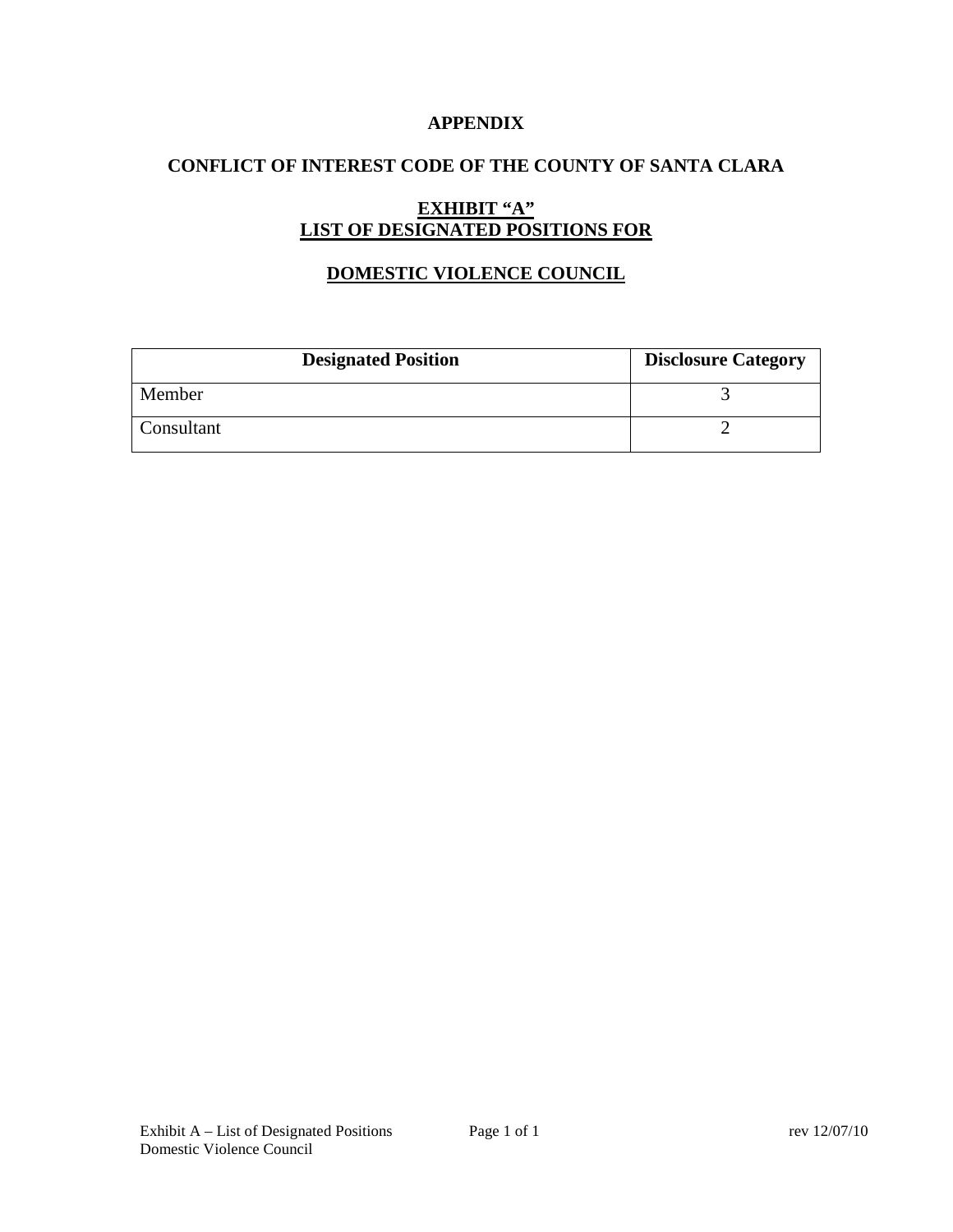### **APPENDIX**

# **CONFLICT OF INTEREST CODE OF THE COUNTY OF SANTA CLARA**

# **EXHIBIT "A" LIST OF DESIGNATED POSITIONS FOR**

# **DOMESTIC VIOLENCE COUNCIL**

| <b>Designated Position</b> | <b>Disclosure Category</b> |
|----------------------------|----------------------------|
| Member                     |                            |
| Consultant                 |                            |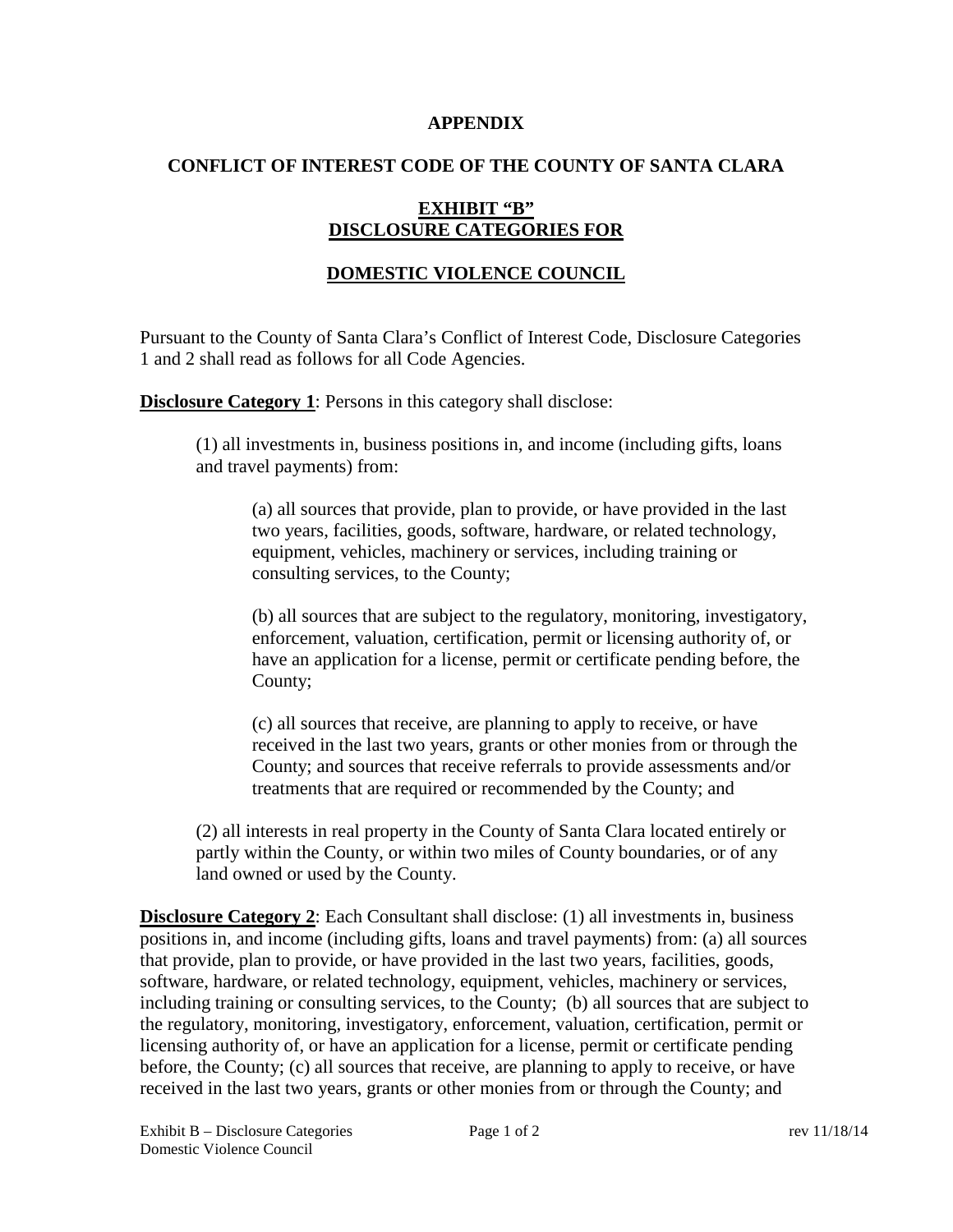#### **APPENDIX**

### **CONFLICT OF INTEREST CODE OF THE COUNTY OF SANTA CLARA**

# **EXHIBIT "B" DISCLOSURE CATEGORIES FOR**

# **DOMESTIC VIOLENCE COUNCIL**

Pursuant to the County of Santa Clara's Conflict of Interest Code, Disclosure Categories 1 and 2 shall read as follows for all Code Agencies.

**Disclosure Category 1:** Persons in this category shall disclose:

(1) all investments in, business positions in, and income (including gifts, loans and travel payments) from:

(a) all sources that provide, plan to provide, or have provided in the last two years, facilities, goods, software, hardware, or related technology, equipment, vehicles, machinery or services, including training or consulting services, to the County;

(b) all sources that are subject to the regulatory, monitoring, investigatory, enforcement, valuation, certification, permit or licensing authority of, or have an application for a license, permit or certificate pending before, the County;

(c) all sources that receive, are planning to apply to receive, or have received in the last two years, grants or other monies from or through the County; and sources that receive referrals to provide assessments and/or treatments that are required or recommended by the County; and

(2) all interests in real property in the County of Santa Clara located entirely or partly within the County, or within two miles of County boundaries, or of any land owned or used by the County.

**Disclosure Category 2:** Each Consultant shall disclose: (1) all investments in, business positions in, and income (including gifts, loans and travel payments) from: (a) all sources that provide, plan to provide, or have provided in the last two years, facilities, goods, software, hardware, or related technology, equipment, vehicles, machinery or services, including training or consulting services, to the County; (b) all sources that are subject to the regulatory, monitoring, investigatory, enforcement, valuation, certification, permit or licensing authority of, or have an application for a license, permit or certificate pending before, the County; (c) all sources that receive, are planning to apply to receive, or have received in the last two years, grants or other monies from or through the County; and